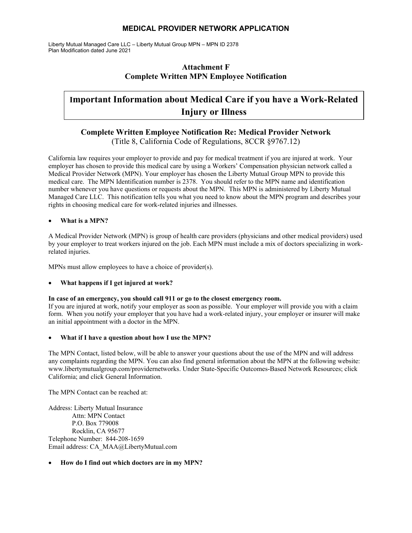Liberty Mutual Managed Care LLC – Liberty Mutual Group MPN – MPN ID 2378 Plan Modification dated June 2021

## **Attachment F Complete Written MPN Employee Notification**

## **Important Information about Medical Care if you have a Work-Related Injury or Illness**

## **Complete Written Employee Notification Re: Medical Provider Network**  (Title 8, California Code of Regulations, 8CCR §9767.12)

California law requires your employer to provide and pay for medical treatment if you are injured at work. Your employer has chosen to provide this medical care by using a Workers' Compensation physician network called a Medical Provider Network (MPN). Your employer has chosen the Liberty Mutual Group MPN to provide this medical care. The MPN Identification number is 2378. You should refer to the MPN name and identification number whenever you have questions or requests about the MPN. This MPN is administered by Liberty Mutual Managed Care LLC. This notification tells you what you need to know about the MPN program and describes your rights in choosing medical care for work-related injuries and illnesses.

#### **What is a MPN?**

A Medical Provider Network (MPN) is group of health care providers (physicians and other medical providers) used by your employer to treat workers injured on the job. Each MPN must include a mix of doctors specializing in workrelated injuries.

MPNs must allow employees to have a choice of provider(s).

#### **What happens if I get injured at work?**

#### **In case of an emergency, you should call 911 or go to the closest emergency room.**

If you are injured at work, notify your employer as soon as possible. Your employer will provide you with a claim form. When you notify your employer that you have had a work-related injury, your employer or insurer will make an initial appointment with a doctor in the MPN.

#### **What if I have a question about how I use the MPN?**

The MPN Contact, listed below, will be able to answer your questions about the use of the MPN and will address any complaints regarding the MPN. You can also find general information about the MPN at the following website: www.libertymutualgroup.com/providernetworks. Under State-Specific Outcomes-Based Network Resources; click California; and click General Information.

The MPN Contact can be reached at:

Address: Liberty Mutual Insurance Attn: MPN Contact P.O. Box 779008 Rocklin, CA 95677 Telephone Number: 844-208-1659 Email address: CA\_MAA@LibertyMutual.com

#### **How do I find out which doctors are in my MPN?**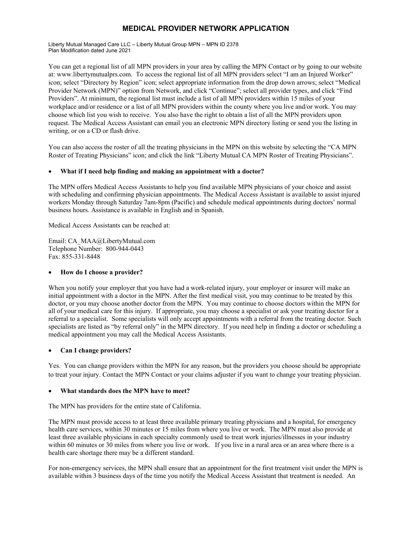Liberty Mutual Managed Care LLC – Liberty Mutual Group MPN – MPN ID 2378 Plan Modification dated June 2021

You can get a regional list of all MPN providers in your area by calling the MPN Contact or by going to our website at: www.libertymutualprs.com. To access the regional list of all MPN providers select "I am an Injured Worker" icon; select "Directory by Region" icon; select appropriate information from the drop down arrows; select "Medical Provider Network (MPN)" option from Network, and click "Continue"; select all provider types, and click "Find Providers". At minimum, the regional list must include a list of all MPN providers within 15 miles of your workplace and/or residence or a list of all MPN providers within the county where you live and/or work. You may choose which list you wish to receive. You also have the right to obtain a list of all the MPN providers upon request. The Medical Access Assistant can email you an electronic MPN directory listing or send you the listing in writing, or on a CD or flash drive.

You can also access the roster of all the treating physicians in the MPN on this website by selecting the "CA MPN Roster of Treating Physicians" icon; and click the link "Liberty Mutual CA MPN Roster of Treating Physicians".

#### **What if I need help finding and making an appointment with a doctor?**

The MPN offers Medical Access Assistants to help you find available MPN physicians of your choice and assist with scheduling and confirming physician appointments. The Medical Access Assistant is available to assist injured workers Monday through Saturday 7am-8pm (Pacific) and schedule medical appointments during doctors' normal business hours. Assistance is available in English and in Spanish.

Medical Access Assistants can be reached at:

Email: CA\_MAA@LibertyMutual.com Telephone Number: 800-944-0443 Fax: 855-331-8448

#### **How do I choose a provider?**

When you notify your employer that you have had a work-related injury, your employer or insurer will make an initial appointment with a doctor in the MPN. After the first medical visit, you may continue to be treated by this doctor, or you may choose another doctor from the MPN. You may continue to choose doctors within the MPN for all of your medical care for this injury. If appropriate, you may choose a specialist or ask your treating doctor for a referral to a specialist. Some specialists will only accept appointments with a referral from the treating doctor. Such specialists are listed as "by referral only" in the MPN directory. If you need help in finding a doctor or scheduling a medical appointment you may call the Medical Access Assistants.

#### **Can I change providers?**

Yes. You can change providers within the MPN for any reason, but the providers you choose should be appropriate to treat your injury. Contact the MPN Contact or your claims adjuster if you want to change your treating physician.

#### **What standards does the MPN have to meet?**

The MPN has providers for the entire state of California.

The MPN must provide access to at least three available primary treating physicians and a hospital, for emergency health care services, within 30 minutes or 15 miles from where you live or work. The MPN must also provide at least three available physicians in each specialty commonly used to treat work injuries/illnesses in your industry within 60 minutes or 30 miles from where you live or work. If you live in a rural area or an area where there is a health care shortage there may be a different standard.

For non-emergency services, the MPN shall ensure that an appointment for the first treatment visit under the MPN is available within 3 business days of the time you notify the Medical Access Assistant that treatment is needed. An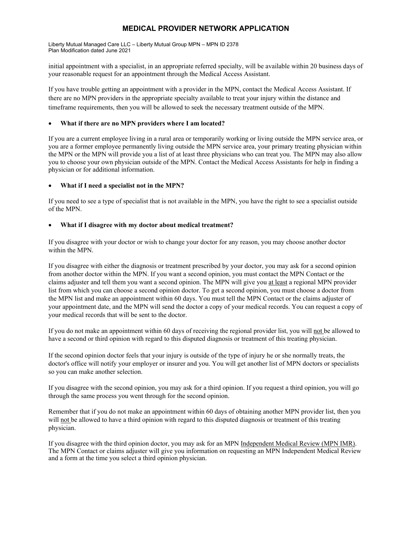Liberty Mutual Managed Care LLC – Liberty Mutual Group MPN – MPN ID 2378 Plan Modification dated June 2021

initial appointment with a specialist, in an appropriate referred specialty, will be available within 20 business days of your reasonable request for an appointment through the Medical Access Assistant.

If you have trouble getting an appointment with a provider in the MPN, contact the Medical Access Assistant. If there are no MPN providers in the appropriate specialty available to treat your injury within the distance and timeframe requirements, then you will be allowed to seek the necessary treatment outside of the MPN.

#### **What if there are no MPN providers where I am located?**

If you are a current employee living in a rural area or temporarily working or living outside the MPN service area, or you are a former employee permanently living outside the MPN service area, your primary treating physician within the MPN or the MPN will provide you a list of at least three physicians who can treat you. The MPN may also allow you to choose your own physician outside of the MPN. Contact the Medical Access Assistants for help in finding a physician or for additional information.

#### **What if I need a specialist not in the MPN?**

If you need to see a type of specialist that is not available in the MPN, you have the right to see a specialist outside of the MPN.

#### **What if I disagree with my doctor about medical treatment?**

If you disagree with your doctor or wish to change your doctor for any reason, you may choose another doctor within the MPN.

If you disagree with either the diagnosis or treatment prescribed by your doctor, you may ask for a second opinion from another doctor within the MPN. If you want a second opinion, you must contact the MPN Contact or the claims adjuster and tell them you want a second opinion. The MPN will give you at least a regional MPN provider list from which you can choose a second opinion doctor. To get a second opinion, you must choose a doctor from the MPN list and make an appointment within 60 days. You must tell the MPN Contact or the claims adjuster of your appointment date, and the MPN will send the doctor a copy of your medical records. You can request a copy of your medical records that will be sent to the doctor.

If you do not make an appointment within 60 days of receiving the regional provider list, you will not be allowed to have a second or third opinion with regard to this disputed diagnosis or treatment of this treating physician.

If the second opinion doctor feels that your injury is outside of the type of injury he or she normally treats, the doctor's office will notify your employer or insurer and you. You will get another list of MPN doctors or specialists so you can make another selection.

If you disagree with the second opinion, you may ask for a third opinion. If you request a third opinion, you will go through the same process you went through for the second opinion.

Remember that if you do not make an appointment within 60 days of obtaining another MPN provider list, then you will not be allowed to have a third opinion with regard to this disputed diagnosis or treatment of this treating physician.

If you disagree with the third opinion doctor, you may ask for an MPN Independent Medical Review (MPN IMR). The MPN Contact or claims adjuster will give you information on requesting an MPN Independent Medical Review and a form at the time you select a third opinion physician.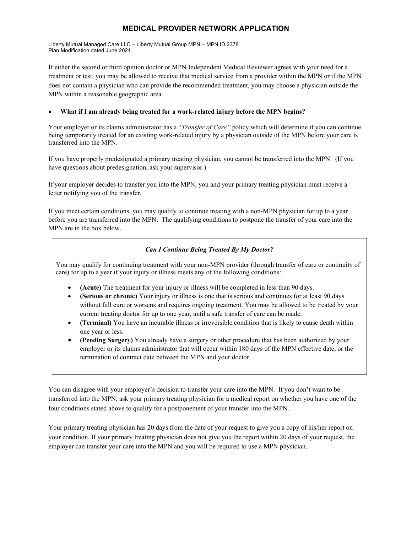Liberty Mutual Managed Care LLC – Liberty Mutual Group MPN – MPN ID 2378 Plan Modification dated June 2021

If either the second or third opinion doctor or MPN Independent Medical Reviewer agrees with your need for a treatment or test, you may be allowed to receive that medical service from a provider within the MPN or if the MPN does not contain a physician who can provide the recommended treatment, you may choose a physician outside the MPN within a reasonable geographic area.

#### **What if I am already being treated for a work-related injury before the MPN begins?**

Your employer or its claims administrator has a "*Transfer of Care"* policy which will determine if you can continue being temporarily treated for an existing work-related injury by a physician outside of the MPN before your care is transferred into the MPN.

If you have properly predesignated a primary treating physician, you cannot be transferred into the MPN. (If you have questions about predesignation, ask your supervisor.)

If your employer decides to transfer you into the MPN, you and your primary treating physician must receive a letter notifying you of the transfer.

If you meet certain conditions, you may qualify to continue treating with a non-MPN physician for up to a year before you are transferred into the MPN. The qualifying conditions to postpone the transfer of your care into the MPN are in the box below.

#### *Can I Continue Being Treated By My Doctor?*

You may qualify for continuing treatment with your non-MPN provider (through transfer of care or continuity of care) for up to a year if your injury or illness meets any of the following conditions:

- **(Acute)** The treatment for your injury or illness will be completed in less than 90 days.
- **(Serious or chronic)** Your injury or illness is one that is serious and continues for at least 90 days without full cure or worsens and requires ongoing treatment. You may be allowed to be treated by your current treating doctor for up to one year, until a safe transfer of care can be made.
- **(Terminal)** You have an incurable illness or irreversible condition that is likely to cause death within one year or less.
- **(Pending Surgery)** You already have a surgery or other procedure that has been authorized by your employer or its claims administrator that will occur within 180 days of the MPN effective date, or the termination of contract date between the MPN and your doctor.

You can disagree with your employer's decision to transfer your care into the MPN. If you don't want to be transferred into the MPN, ask your primary treating physician for a medical report on whether you have one of the four conditions stated above to qualify for a postponement of your transfer into the MPN.

Your primary treating physician has 20 days from the date of your request to give you a copy of his/her report on your condition. If your primary treating physician does not give you the report within 20 days of your request, the employer can transfer your care into the MPN and you will be required to use a MPN physician.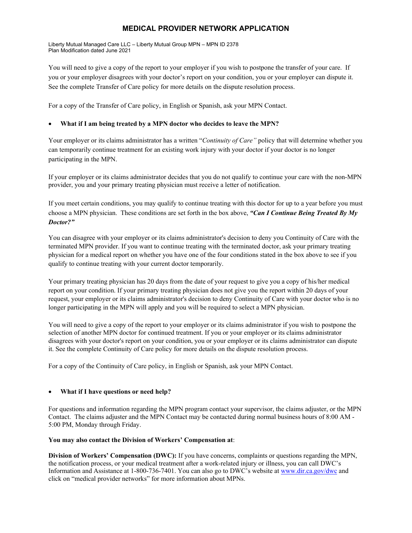Liberty Mutual Managed Care LLC – Liberty Mutual Group MPN – MPN ID 2378 Plan Modification dated June 2021

You will need to give a copy of the report to your employer if you wish to postpone the transfer of your care. If you or your employer disagrees with your doctor's report on your condition, you or your employer can dispute it. See the complete Transfer of Care policy for more details on the dispute resolution process.

For a copy of the Transfer of Care policy, in English or Spanish, ask your MPN Contact.

#### **What if I am being treated by a MPN doctor who decides to leave the MPN?**

Your employer or its claims administrator has a written "*Continuity of Care"* policy that will determine whether you can temporarily continue treatment for an existing work injury with your doctor if your doctor is no longer participating in the MPN.

If your employer or its claims administrator decides that you do not qualify to continue your care with the non-MPN provider, you and your primary treating physician must receive a letter of notification.

If you meet certain conditions, you may qualify to continue treating with this doctor for up to a year before you must choose a MPN physician. These conditions are set forth in the box above, *"Can I Continue Being Treated By My Doctor?"* 

You can disagree with your employer or its claims administrator's decision to deny you Continuity of Care with the terminated MPN provider. If you want to continue treating with the terminated doctor, ask your primary treating physician for a medical report on whether you have one of the four conditions stated in the box above to see if you qualify to continue treating with your current doctor temporarily.

Your primary treating physician has 20 days from the date of your request to give you a copy of his/her medical report on your condition. If your primary treating physician does not give you the report within 20 days of your request, your employer or its claims administrator's decision to deny Continuity of Care with your doctor who is no longer participating in the MPN will apply and you will be required to select a MPN physician.

You will need to give a copy of the report to your employer or its claims administrator if you wish to postpone the selection of another MPN doctor for continued treatment. If you or your employer or its claims administrator disagrees with your doctor's report on your condition, you or your employer or its claims administrator can dispute it. See the complete Continuity of Care policy for more details on the dispute resolution process.

For a copy of the Continuity of Care policy, in English or Spanish, ask your MPN Contact.

#### **What if I have questions or need help?**

For questions and information regarding the MPN program contact your supervisor, the claims adjuster, or the MPN Contact. The claims adjuster and the MPN Contact may be contacted during normal business hours of 8:00 AM - 5:00 PM, Monday through Friday.

#### **You may also contact the Division of Workers' Compensation at**:

**Division of Workers' Compensation (DWC):** If you have concerns, complaints or questions regarding the MPN, the notification process, or your medical treatment after a work-related injury or illness, you can call DWC's Information and Assistance at 1-800-736-7401. You can also go to DWC's website at www.dir.ca.gov/dwc and click on "medical provider networks" for more information about MPNs.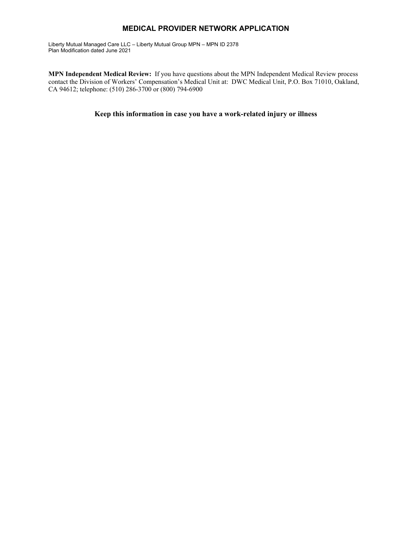Liberty Mutual Managed Care LLC – Liberty Mutual Group MPN – MPN ID 2378 Plan Modification dated June 2021

**MPN Independent Medical Review:** If you have questions about the MPN Independent Medical Review process contact the Division of Workers' Compensation's Medical Unit at: DWC Medical Unit, P.O. Box 71010, Oakland, CA 94612; telephone: (510) 286-3700 or (800) 794-6900

**Keep this information in case you have a work-related injury or illness**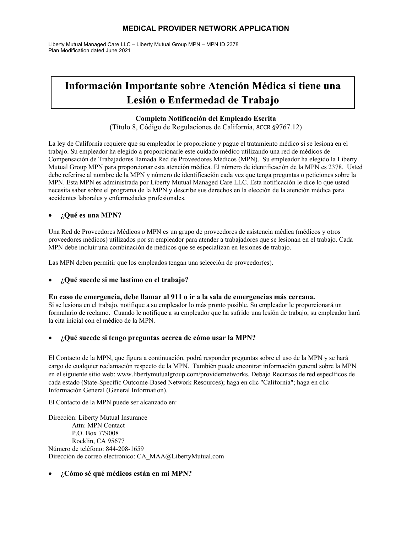Liberty Mutual Managed Care LLC – Liberty Mutual Group MPN – MPN ID 2378 Plan Modification dated June 2021

# **Información Importante sobre Atención Médica si tiene una Lesión o Enfermedad de Trabajo**

#### **Completa Notificación del Empleado Escrita**

(Título 8, Código de Regulaciones de California, 8CCR §9767.12)

La ley de California requiere que su empleador le proporcione y pague el tratamiento médico si se lesiona en el trabajo. Su empleador ha elegido a proporcionarle este cuidado médico utilizando una red de médicos de Compensación de Trabajadores llamada Red de Proveedores Médicos (MPN). Su empleador ha elegido la Liberty Mutual Group MPN para proporcionar esta atención médica. El número de identificación de la MPN es 2378. Usted debe referirse al nombre de la MPN y número de identificación cada vez que tenga preguntas o peticiones sobre la MPN. Esta MPN es administrada por Liberty Mutual Managed Care LLC. Esta notificación le dice lo que usted necesita saber sobre el programa de la MPN y describe sus derechos en la elección de la atención médica para accidentes laborales y enfermedades profesionales.

#### **¿Qué es una MPN?**

Una Red de Proveedores Médicos o MPN es un grupo de proveedores de asistencia médica (médicos y otros proveedores médicos) utilizados por su empleador para atender a trabajadores que se lesionan en el trabajo. Cada MPN debe incluir una combinación de médicos que se especializan en lesiones de trabajo.

Las MPN deben permitir que los empleados tengan una selección de proveedor(es).

#### **¿Qué sucede si me lastimo en el trabajo?**

#### **En caso de emergencia, debe llamar al 911 o ir a la sala de emergencias más cercana.**

Si se lesiona en el trabajo, notifique a su empleador lo más pronto posible. Su empleador le proporcionará un formulario de reclamo. Cuando le notifique a su empleador que ha sufrido una lesión de trabajo, su empleador hará la cita inicial con el médico de la MPN.

#### **¿Qué sucede si tengo preguntas acerca de cómo usar la MPN?**

El Contacto de la MPN, que figura a continuación, podrá responder preguntas sobre el uso de la MPN y se hará cargo de cualquier reclamación respecto de la MPN. También puede encontrar información general sobre la MPN en el siguiente sitio web: www.libertymutualgroup.com/providernetworks. Debajo Recursos de red específicos de cada estado (State-Specific Outcome-Based Network Resources); haga en clic "California"; haga en clic Información General (General Information).

El Contacto de la MPN puede ser alcanzado en:

Dirección: Liberty Mutual Insurance Attn: MPN Contact P.O. Box 779008 Rocklin, CA 95677 Número de teléfono: 844-208-1659 Dirección de correo electrónico: CA\_MAA@LibertyMutual.com

#### **¿Cómo sé qué médicos están en mi MPN?**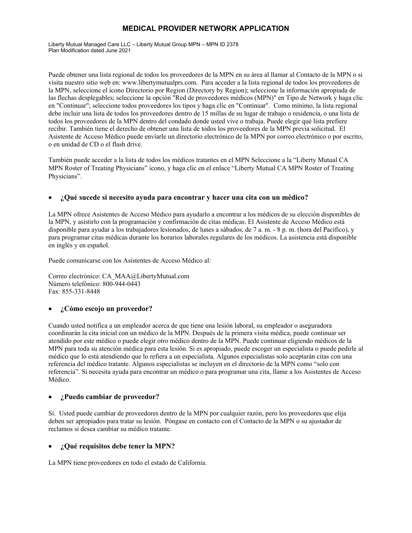Liberty Mutual Managed Care LLC – Liberty Mutual Group MPN – MPN ID 2378 Plan Modification dated June 2021

Puede obtener una lista regional de todos los proveedores de la MPN en su área al llamar al Contacto de la MPN o si visita nuestro sitio web en: www.libertymutualprs.com.Para acceder a la lista regional de todos los proveedores de la MPN, seleccione el icono Directorio por Region (Directory by Region); seleccione la información apropiada de las flechas desplegables; seleccione la opción "Red de proveedores médicos (MPN)" en Tipo de Network y haga clic en "Continuar"; seleccione todos proveedores los tipos y haga clic en "Continuar". Como mínimo, la lista regional debe incluir una lista de todos los proveedores dentro de 15 millas de su lugar de trabajo o residencia, o una lista de todos los proveedores de la MPN dentro del condado donde usted vive o trabaja. Puede elegir qué lista prefiere recibir. También tiene el derecho de obtener una lista de todos los proveedores de la MPN previa solicitud. El Asistente de Acceso Médico puede enviarle un directorio electrónico de la MPN por correo electrónico o por escrito, o en unidad de CD o el flash drive.

También puede acceder a la lista de todos los médicos tratantes en el MPN Seleccione a la "Liberty Mutual CA MPN Roster of Treating Physicians" icono, y haga clic en el enlace "Liberty Mutual CA MPN Roster of Treating Physicians".

#### **¿Qué sucede si necesito ayuda para encontrar y hacer una cita con un médico?**

La MPN ofrece Asistentes de Acceso Médico para ayudarlo a encontrar a los médicos de su elección disponibles de la MPN, y asistirlo con la programación y confirmación de citas médicas. El Asistente de Acceso Médico está disponible para ayudar a los trabajadores lesionados, de lunes a sábados, de 7 a. m. - 8 p. m. (hora del Pacífico), y para programar citas médicas durante los horarios laborales regulares de los médicos. La asistencia está disponible en inglés y en español.

Puede comunicarse con los Asistentes de Acceso Médico al:

Correo electrónico: CA\_MAA@LibertyMutual.com Número telefónico: 800-944-0443 Fax: 855-331-8448

#### **¿Cómo escojo un proveedor?**

Cuando usted notifica a un empleador acerca de que tiene una lesión laboral, su empleador o aseguradora coordinarán la cita inicial con un médico de la MPN. Después de la primera visita médica, puede continuar ser atendido por este médico o puede elegir otro médico dentro de la MPN. Puede continuar eligiendo médicos de la MPN para toda su atención médica para esta lesión. Si es apropiado, puede escoger un especialista o puede pedirle al médico que lo está atendiendo que lo refiera a un especialista. Algunos especialistas solo aceptarán citas con una referencia del médico tratante. Algunos especialistas se incluyen en el directorio de la MPN como "solo con referencia". Si necesita ayuda para encontrar un médico o para programar una cita, llame a los Asistentes de Acceso Médico.

#### **¿Puedo cambiar de proveedor?**

Sí. Usted puede cambiar de proveedores dentro de la MPN por cualquier razón, pero los proveedores que elija deben ser apropiados para tratar su lesión. Póngase en contacto con el Contacto de la MPN o su ajustador de reclamos si desea cambiar su médico tratante.

#### **¿Qué requisitos debe tener la MPN?**

La MPN tiene proveedores en todo el estado de California.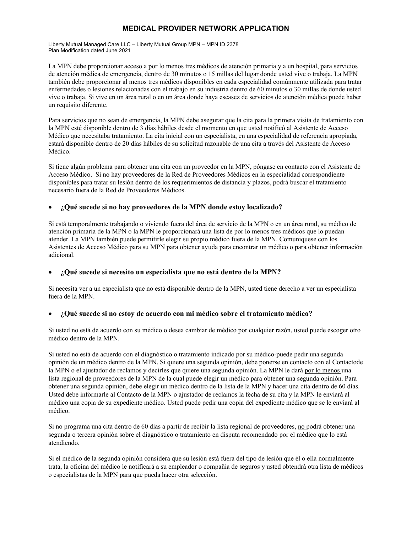Liberty Mutual Managed Care LLC – Liberty Mutual Group MPN – MPN ID 2378 Plan Modification dated June 2021

La MPN debe proporcionar acceso a por lo menos tres médicos de atención primaria y a un hospital, para servicios de atención médica de emergencia, dentro de 30 minutos o 15 millas del lugar donde usted vive o trabaja. La MPN también debe proporcionar al menos tres médicos disponibles en cada especialidad comúnmente utilizada para tratar enfermedades o lesiones relacionadas con el trabajo en su industria dentro de 60 minutos o 30 millas de donde usted vive o trabaja. Si vive en un área rural o en un área donde haya escasez de servicios de atención médica puede haber un requisito diferente.

Para servicios que no sean de emergencia, la MPN debe asegurar que la cita para la primera visita de tratamiento con la MPN esté disponible dentro de 3 días hábiles desde el momento en que usted notificó al Asistente de Acceso Médico que necesitaba tratamiento. La cita inicial con un especialista, en una especialidad de referencia apropiada, estará disponible dentro de 20 días hábiles de su solicitud razonable de una cita a través del Asistente de Acceso Médico.

Si tiene algún problema para obtener una cita con un proveedor en la MPN, póngase en contacto con el Asistente de Acceso Médico. Si no hay proveedores de la Red de Proveedores Médicos en la especialidad correspondiente disponibles para tratar su lesión dentro de los requerimientos de distancia y plazos, podrá buscar el tratamiento necesario fuera de la Red de Proveedores Médicos.

#### **¿Qué sucede si no hay proveedores de la MPN donde estoy localizado?**

Si está temporalmente trabajando o viviendo fuera del área de servicio de la MPN o en un área rural, su médico de atención primaria de la MPN o la MPN le proporcionará una lista de por lo menos tres médicos que lo puedan atender. La MPN también puede permitirle elegir su propio médico fuera de la MPN. Comuníquese con los Asistentes de Acceso Médico para su MPN para obtener ayuda para encontrar un médico o para obtener información adicional.

#### **¿Qué sucede si necesito un especialista que no está dentro de la MPN?**

Si necesita ver a un especialista que no está disponible dentro de la MPN, usted tiene derecho a ver un especialista fuera de la MPN.

#### **¿Qué sucede si no estoy de acuerdo con mi médico sobre el tratamiento médico?**

Si usted no está de acuerdo con su médico o desea cambiar de médico por cualquier razón, usted puede escoger otro médico dentro de la MPN.

Si usted no está de acuerdo con el diagnóstico o tratamiento indicado por su médico-puede pedir una segunda opinión de un médico dentro de la MPN. Si quiere una segunda opinión, debe ponerse en contacto con el Contactode la MPN o el ajustador de reclamos y decirles que quiere una segunda opinión. La MPN le dará por lo menos una lista regional de proveedores de la MPN de la cual puede elegir un médico para obtener una segunda opinión. Para obtener una segunda opinión, debe elegir un médico dentro de la lista de la MPN y hacer una cita dentro de 60 días. Usted debe informarle al Contacto de la MPN o ajustador de reclamos la fecha de su cita y la MPN le enviará al médico una copia de su expediente médico. Usted puede pedir una copia del expediente médico que se le enviará al médico.

Si no programa una cita dentro de 60 días a partir de recibir la lista regional de proveedores, no podrá obtener una segunda o tercera opinión sobre el diagnóstico o tratamiento en disputa recomendado por el médico que lo está atendiendo.

Si el médico de la segunda opinión considera que su lesión está fuera del tipo de lesión que él o ella normalmente trata, la oficina del médico le notificará a su empleador o compañía de seguros y usted obtendrá otra lista de médicos o especialistas de la MPN para que pueda hacer otra selección.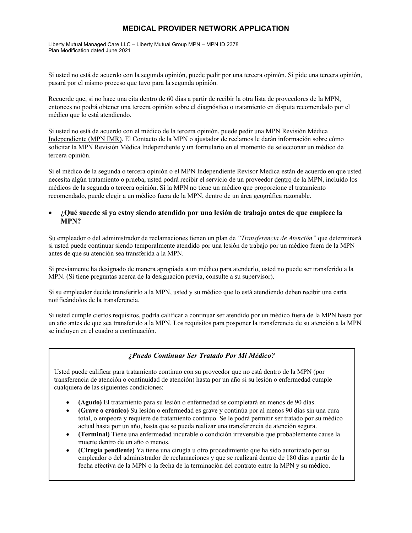Liberty Mutual Managed Care LLC – Liberty Mutual Group MPN – MPN ID 2378 Plan Modification dated June 2021

Si usted no está de acuerdo con la segunda opinión, puede pedir por una tercera opinión. Si pide una tercera opinión, pasará por el mismo proceso que tuvo para la segunda opinión.

Recuerde que, si no hace una cita dentro de 60 días a partir de recibir la otra lista de proveedores de la MPN, entonces no podrá obtener una tercera opinión sobre el diagnóstico o tratamiento en disputa recomendado por el médico que lo está atendiendo.

Si usted no está de acuerdo con el médico de la tercera opinión, puede pedir una MPN Revisión Médica Independiente (MPN IMR). El Contacto de la MPN o ajustador de reclamos le darán información sobre cómo solicitar la MPN Revisión Médica Independiente y un formulario en el momento de seleccionar un médico de tercera opinión.

Si el médico de la segunda o tercera opinión o el MPN Independiente Revisor Medica están de acuerdo en que usted necesita algún tratamiento o prueba, usted podrá recibir el servicio de un proveedor dentro de la MPN, incluido los médicos de la segunda o tercera opinión. Si la MPN no tiene un médico que proporcione el tratamiento recomendado, puede elegir a un médico fuera de la MPN, dentro de un área geográfica razonable.

#### **¿Qué sucede si ya estoy siendo atendido por una lesión de trabajo antes de que empiece la MPN?**

Su empleador o del administrador de reclamaciones tienen un plan de *"Transferencia de Atención"* que determinará si usted puede continuar siendo temporalmente atendido por una lesión de trabajo por un médico fuera de la MPN antes de que su atención sea transferida a la MPN.

Si previamente ha designado de manera apropiada a un médico para atenderlo, usted no puede ser transferido a la MPN. (Si tiene preguntas acerca de la designación previa, consulte a su supervisor).

Si su empleador decide transferirlo a la MPN, usted y su médico que lo está atendiendo deben recibir una carta notificándolos de la transferencia.

Si usted cumple ciertos requisitos, podría calificar a continuar ser atendido por un médico fuera de la MPN hasta por un año antes de que sea transferido a la MPN. Los requisitos para posponer la transferencia de su atención a la MPN se incluyen en el cuadro a continuación.

#### *¿Puedo Continuar Ser Tratado Por Mi Médico?*

Usted puede calificar para tratamiento continuo con su proveedor que no está dentro de la MPN (por transferencia de atención o continuidad de atención) hasta por un año si su lesión o enfermedad cumple cualquiera de las siguientes condiciones:

- **(Agudo)** El tratamiento para su lesión o enfermedad se completará en menos de 90 días.
- **(Grave o crónico)** Su lesión o enfermedad es grave y continúa por al menos 90 días sin una cura total, o empeora y requiere de tratamiento continuo. Se le podrá permitir ser tratado por su médico actual hasta por un año, hasta que se pueda realizar una transferencia de atención segura.
- **(Terminal)** Tiene una enfermedad incurable o condición irreversible que probablemente cause la muerte dentro de un año o menos.
- **(Cirugía pendiente)** Ya tiene una cirugía u otro procedimiento que ha sido autorizado por su empleador o del administrador de reclamaciones y que se realizará dentro de 180 días a partir de la fecha efectiva de la MPN o la fecha de la terminación del contrato entre la MPN y su médico.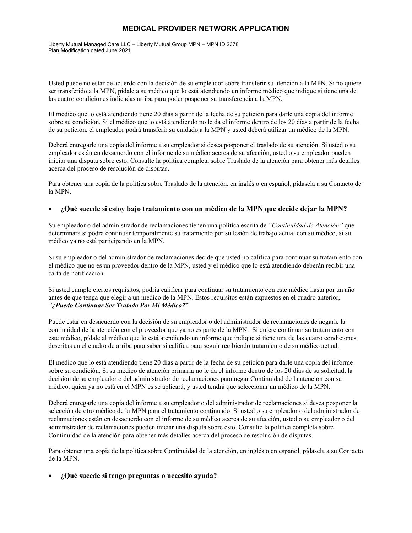Liberty Mutual Managed Care LLC – Liberty Mutual Group MPN – MPN ID 2378 Plan Modification dated June 2021

Usted puede no estar de acuerdo con la decisión de su empleador sobre transferir su atención a la MPN. Si no quiere ser transferido a la MPN, pídale a su médico que lo está atendiendo un informe médico que indique si tiene una de las cuatro condiciones indicadas arriba para poder posponer su transferencia a la MPN.

El médico que lo está atendiendo tiene 20 días a partir de la fecha de su petición para darle una copia del informe sobre su condición. Si el médico que lo está atendiendo no le da el informe dentro de los 20 días a partir de la fecha de su petición, el empleador podrá transferir su cuidado a la MPN y usted deberá utilizar un médico de la MPN.

Deberá entregarle una copia del informe a su empleador si desea posponer el traslado de su atención. Si usted o su empleador están en desacuerdo con el informe de su médico acerca de su afección, usted o su empleador pueden iniciar una disputa sobre esto. Consulte la política completa sobre Traslado de la atención para obtener más detalles acerca del proceso de resolución de disputas.

Para obtener una copia de la política sobre Traslado de la atención, en inglés o en español, pídasela a su Contacto de la MPN.

#### **¿Qué sucede si estoy bajo tratamiento con un médico de la MPN que decide dejar la MPN?**

Su empleador o del administrador de reclamaciones tienen una política escrita de *"Continuidad de Atención"* que determinará si podrá continuar temporalmente su tratamiento por su lesión de trabajo actual con su médico, si su médico ya no está participando en la MPN.

Si su empleador o del administrador de reclamaciones decide que usted no califica para continuar su tratamiento con el médico que no es un proveedor dentro de la MPN, usted y el médico que lo está atendiendo deberán recibir una carta de notificación.

Si usted cumple ciertos requisitos, podría calificar para continuar su tratamiento con este médico hasta por un año antes de que tenga que elegir a un médico de la MPN. Estos requisitos están expuestos en el cuadro anterior, *"¿Puedo Continuar Ser Tratado Por Mi Médico?***"** 

Puede estar en desacuerdo con la decisión de su empleador o del administrador de reclamaciones de negarle la continuidad de la atención con el proveedor que ya no es parte de la MPN. Si quiere continuar su tratamiento con este médico, pídale al médico que lo está atendiendo un informe que indique si tiene una de las cuatro condiciones descritas en el cuadro de arriba para saber si califica para seguir recibiendo tratamiento de su médico actual.

El médico que lo está atendiendo tiene 20 días a partir de la fecha de su petición para darle una copia del informe sobre su condición. Si su médico de atención primaria no le da el informe dentro de los 20 días de su solicitud, la decisión de su empleador o del administrador de reclamaciones para negar Continuidad de la atención con su médico, quien ya no está en el MPN es se aplicará, y usted tendrá que seleccionar un médico de la MPN.

Deberá entregarle una copia del informe a su empleador o del administrador de reclamaciones si desea posponer la selección de otro médico de la MPN para el tratamiento continuado. Si usted o su empleador o del administrador de reclamaciones están en desacuerdo con el informe de su médico acerca de su afección, usted o su empleador o del administrador de reclamaciones pueden iniciar una disputa sobre esto. Consulte la política completa sobre Continuidad de la atención para obtener más detalles acerca del proceso de resolución de disputas.

Para obtener una copia de la política sobre Continuidad de la atención, en inglés o en español, pídasela a su Contacto de la MPN.

#### **¿Qué sucede si tengo preguntas o necesito ayuda?**